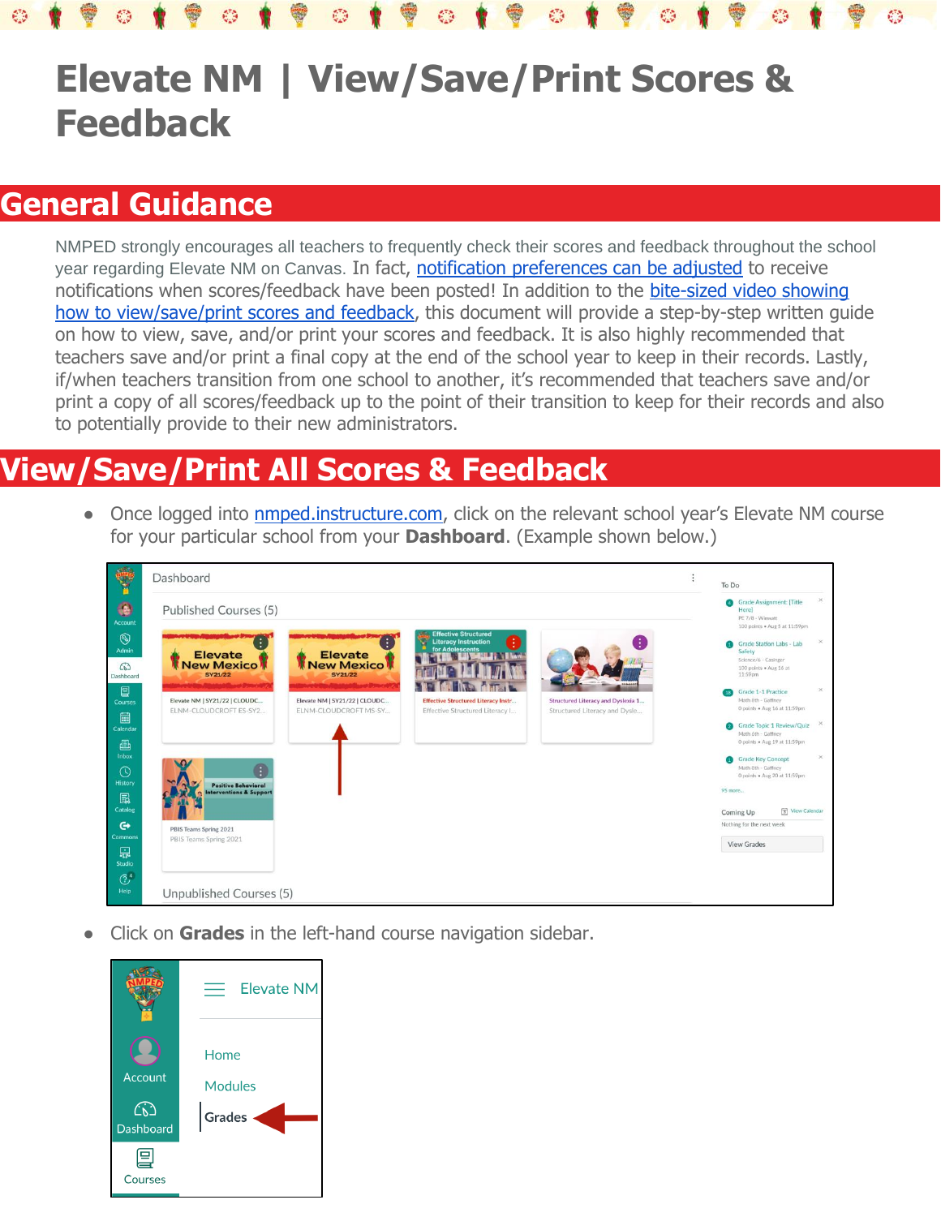## **Elevate NM | View/Save/Print Scores & Feedback**

## **General Guidance**

NMPED strongly encourages all teachers to frequently check their scores and feedback throughout the school year regarding Elevate NM on Canvas. In fact, [notification preferences can be adjusted](https://nmped.instructuremedia.com/embed/d3347c40-2f57-4927-a0bc-c0f951262d8f) to receive notifications when scores/feedback have been posted! In addition to the [bite-sized video showing](https://nmped.instructuremedia.com/embed/199fca23-6e96-41db-9427-e2bb580c0d28)  [how to view/save/print scores and feedback,](https://nmped.instructuremedia.com/embed/199fca23-6e96-41db-9427-e2bb580c0d28) this document will provide a step-by-step written quide on how to view, save, and/or print your scores and feedback. It is also highly recommended that teachers save and/or print a final copy at the end of the school year to keep in their records. Lastly, if/when teachers transition from one school to another, it's recommended that teachers save and/or print a copy of all scores/feedback up to the point of their transition to keep for their records and also to potentially provide to their new administrators.

## **View/Save/Print All Scores & Feedback**

• Once logged into **nmped.instructure.com**, click on the relevant school year's Elevate NM course for your particular school from your **Dashboard**. (Example shown below.)

|                                              | Dashboard                                                 |                                                        |                                                                                    |                                                                     | To Do                                                                                                                                |                      |
|----------------------------------------------|-----------------------------------------------------------|--------------------------------------------------------|------------------------------------------------------------------------------------|---------------------------------------------------------------------|--------------------------------------------------------------------------------------------------------------------------------------|----------------------|
| ۰<br>Account                                 | Published Courses (5)                                     |                                                        |                                                                                    |                                                                     | <b>Grade Assignment: [Title</b><br>Herel<br>PE 7/8 - Wimsatt<br>100 points . Aug 5 at 11:59pm                                        | $\times$             |
| $^{\circ}$<br>Admin<br>$\omega$<br>Dashboard | <b>Elevate</b><br><b>New Mexico</b><br><b>SY21/22</b>     | <b>Elevate</b><br><b>New Mexico</b><br><b>SY21/22</b>  | <b>Effective Structured</b><br>œ<br><b>Literacy Instruction</b><br>for Adolescents |                                                                     | Grade Station Labs - Lab<br>Safety<br>Science/6 - Casinger<br>100 points . Aug 16 at<br>11:59pm                                      | $\times$             |
| 图<br><b>Courses</b><br>量<br>Calendar         | Elevate NM   SY21/22   CLOUDC<br>ELNM-CLOUDCROFT ES-SY2   | Elevate NM   SY21/22   CLOUDC<br>ELNM-CLOUDCROFT MS-SY | <b>Effective Structured Literacy Instr</b><br>Effective Structured Literacy I      | Structured Literacy and Dyslexia 1<br>Structured Literacy and Dysle | Grade 1-1 Practice<br>Math 8th - Gaffney<br>0 points . Aug 16 at 11:59pm<br>Grade Topic 1 Review/Quiz                                | $\times$<br>$\times$ |
| 画<br>Inbox<br>$\odot$                        |                                                           |                                                        |                                                                                    |                                                                     | Math 6th - Gaffney<br>0 points . Aug 19 at 11:59pm<br><b>Grade Key Concept</b><br>Math 8th - Gaffney<br>0 points . Aug 20 at 11:59pm | $\times$             |
| History<br>鳳<br>Catalog<br>$\mathbf{G}$      | Positive Behavioral<br><b>Interventions &amp; Support</b> |                                                        |                                                                                    |                                                                     | 95 more<br>Coming Up<br>Nothing for the next week                                                                                    | View Calendar        |
| Commons<br>品<br>Studio                       | PBIS Teams Spring 2021<br>PBIS Teams Spring 2021          |                                                        |                                                                                    |                                                                     | View Grades                                                                                                                          |                      |
| $\circledcirc$<br>Help                       | Unpublished Courses (5)                                   |                                                        |                                                                                    |                                                                     |                                                                                                                                      |                      |

Click on **Grades** in the left-hand course navigation sidebar.